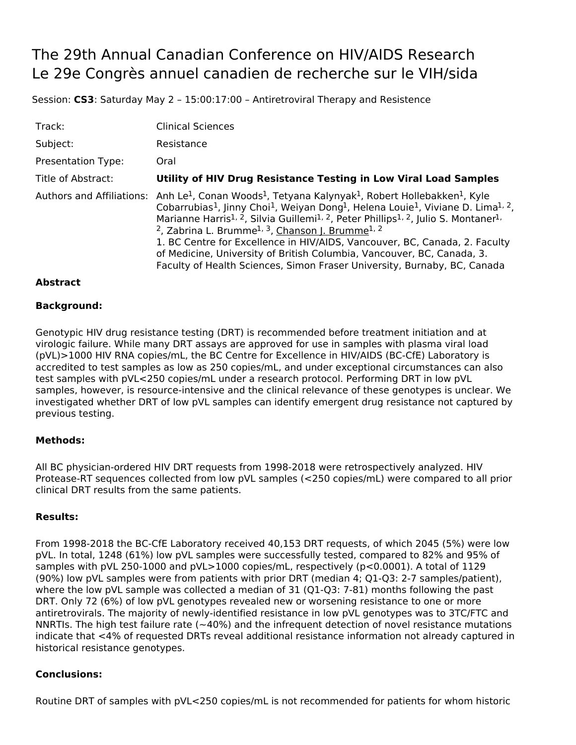# The 29th Annual Canadian Conference on HIV/AIDS Research Le 29e Congrès annuel canadien de recherche sur le VIH/sida

Session: **CS3**: Saturday May 2 – 15:00:17:00 – Antiretroviral Therapy and Resistence

| Track:                    | <b>Clinical Sciences</b>                                                                                                                                                                                                                                                                                                                                                                                                                                                                                                                                                                                                                                                                                                                                               |
|---------------------------|------------------------------------------------------------------------------------------------------------------------------------------------------------------------------------------------------------------------------------------------------------------------------------------------------------------------------------------------------------------------------------------------------------------------------------------------------------------------------------------------------------------------------------------------------------------------------------------------------------------------------------------------------------------------------------------------------------------------------------------------------------------------|
| Subject:                  | Resistance                                                                                                                                                                                                                                                                                                                                                                                                                                                                                                                                                                                                                                                                                                                                                             |
| <b>Presentation Type:</b> | Oral                                                                                                                                                                                                                                                                                                                                                                                                                                                                                                                                                                                                                                                                                                                                                                   |
| Title of Abstract:        | Utility of HIV Drug Resistance Testing in Low Viral Load Samples                                                                                                                                                                                                                                                                                                                                                                                                                                                                                                                                                                                                                                                                                                       |
|                           | Authors and Affiliations: Anh Le <sup>1</sup> , Conan Woods <sup>1</sup> , Tetyana Kalynyak <sup>1</sup> , Robert Hollebakken <sup>1</sup> , Kyle<br>Cobarrubias <sup>1</sup> , Jinny Choi <sup>1</sup> , Weiyan Dong <sup>1</sup> , Helena Louie <sup>1</sup> , Viviane D. Lima <sup>1, 2</sup> ,<br>Marianne Harris <sup>1, 2</sup> , Silvia Guillemi <sup>1, 2</sup> , Peter Phillips <sup>1, 2</sup> , Julio S. Montaner <sup>1,</sup><br><sup>2</sup> , Zabrina L. Brumme <sup>1, 3</sup> , Chanson J. Brumme <sup>1, 2</sup><br>1. BC Centre for Excellence in HIV/AIDS, Vancouver, BC, Canada, 2. Faculty<br>of Medicine, University of British Columbia, Vancouver, BC, Canada, 3.<br>Faculty of Health Sciences, Simon Fraser University, Burnaby, BC, Canada |

## **Abstract**

### **Background:**

Genotypic HIV drug resistance testing (DRT) is recommended before treatment initiation and at virologic failure. While many DRT assays are approved for use in samples with plasma viral load (pVL)>1000 HIV RNA copies/mL, the BC Centre for Excellence in HIV/AIDS (BC-CfE) Laboratory is accredited to test samples as low as 250 copies/mL, and under exceptional circumstances can also test samples with pVL<250 copies/mL under a research protocol. Performing DRT in low pVL samples, however, is resource-intensive and the clinical relevance of these genotypes is unclear. We investigated whether DRT of low pVL samples can identify emergent drug resistance not captured by previous testing.

#### **Methods:**

All BC physician-ordered HIV DRT requests from 1998-2018 were retrospectively analyzed. HIV Protease-RT sequences collected from low pVL samples (<250 copies/mL) were compared to all prior clinical DRT results from the same patients.

#### **Results:**

From 1998-2018 the BC-CfE Laboratory received 40,153 DRT requests, of which 2045 (5%) were low pVL. In total, 1248 (61%) low pVL samples were successfully tested, compared to 82% and 95% of samples with pVL 250-1000 and pVL>1000 copies/mL, respectively (p<0.0001). A total of 1129 (90%) low pVL samples were from patients with prior DRT (median 4; Q1-Q3: 2-7 samples/patient), where the low pVL sample was collected a median of 31 (Q1-Q3: 7-81) months following the past DRT. Only 72 (6%) of low pVL genotypes revealed new or worsening resistance to one or more antiretrovirals. The majority of newly-identified resistance in low pVL genotypes was to 3TC/FTC and NNRTIs. The high test failure rate (~40%) and the infrequent detection of novel resistance mutations indicate that <4% of requested DRTs reveal additional resistance information not already captured in historical resistance genotypes.

## **Conclusions:**

Routine DRT of samples with pVL<250 copies/mL is not recommended for patients for whom historic